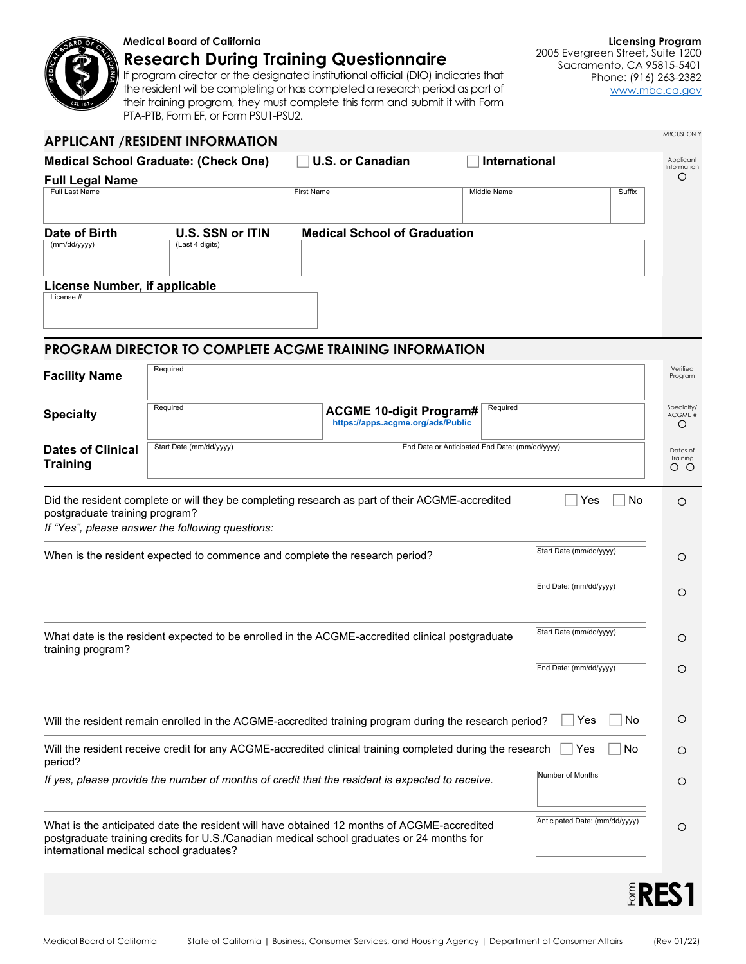

## **Medical Board of California**

**Research During Training Questionnaire**

If program director or the designated institutional official (DIO) indicates that the resident will be completing or has completed a research period as part of their training program, they must complete this form and submit it with Form PTA-PTB, Form EF, or Form PSU1-PSU2.

**Licensing Program** 2005 Evergreen Street, Suite 1200 Sacramento, CA 95815-5401 Phone: (916) 263-2382 [www.mbc.ca.gov](http://www.mbc.ca.gov/)

| <b>APPLICANT /RESIDENT INFORMATION</b>                                                                                                                                                                                                                               |                                                                                                                                                     |                                     |                                                                     |                         |                            |  |
|----------------------------------------------------------------------------------------------------------------------------------------------------------------------------------------------------------------------------------------------------------------------|-----------------------------------------------------------------------------------------------------------------------------------------------------|-------------------------------------|---------------------------------------------------------------------|-------------------------|----------------------------|--|
| <b>Medical School Graduate: (Check One)</b>                                                                                                                                                                                                                          |                                                                                                                                                     | <b>U.S. or Canadian</b>             |                                                                     | International           | Applicant<br>Information   |  |
| <b>Full Legal Name</b>                                                                                                                                                                                                                                               |                                                                                                                                                     |                                     |                                                                     |                         | O                          |  |
| Full Last Name                                                                                                                                                                                                                                                       |                                                                                                                                                     | <b>First Name</b>                   |                                                                     | Middle Name             | Suffix                     |  |
| Date of Birth                                                                                                                                                                                                                                                        | U.S. SSN or ITIN                                                                                                                                    | <b>Medical School of Graduation</b> |                                                                     |                         |                            |  |
| (mm/dd/yyyy)                                                                                                                                                                                                                                                         | (Last 4 digits)                                                                                                                                     |                                     |                                                                     |                         |                            |  |
| License Number, if applicable<br>License #                                                                                                                                                                                                                           |                                                                                                                                                     |                                     |                                                                     |                         |                            |  |
|                                                                                                                                                                                                                                                                      |                                                                                                                                                     |                                     |                                                                     |                         |                            |  |
|                                                                                                                                                                                                                                                                      | <b>PROGRAM DIRECTOR TO COMPLETE ACGME TRAINING INFORMATION</b>                                                                                      |                                     |                                                                     |                         |                            |  |
| <b>Facility Name</b>                                                                                                                                                                                                                                                 | Required                                                                                                                                            |                                     |                                                                     |                         | Verified<br>Program        |  |
|                                                                                                                                                                                                                                                                      | Required                                                                                                                                            |                                     |                                                                     | Required                | Specialty/                 |  |
| <b>Specialty</b>                                                                                                                                                                                                                                                     |                                                                                                                                                     |                                     | <b>ACGME 10-digit Program#</b><br>https://apps.acgme.org/ads/Public |                         | ACGME #<br>O               |  |
| <b>Dates of Clinical</b><br><b>Training</b>                                                                                                                                                                                                                          | Start Date (mm/dd/yyyy)                                                                                                                             |                                     | End Date or Anticipated End Date: (mm/dd/yyyy)                      |                         | Dates of<br>Training<br>оо |  |
| postgraduate training program?                                                                                                                                                                                                                                       | Did the resident complete or will they be completing research as part of their ACGME-accredited<br>If "Yes", please answer the following questions: |                                     |                                                                     | Yes                     | No<br>O                    |  |
| Start Date (mm/dd/yyyy)<br>When is the resident expected to commence and complete the research period?                                                                                                                                                               |                                                                                                                                                     |                                     |                                                                     | O                       |                            |  |
|                                                                                                                                                                                                                                                                      |                                                                                                                                                     |                                     |                                                                     | End Date: (mm/dd/yyyy)  | O                          |  |
| training program?                                                                                                                                                                                                                                                    | What date is the resident expected to be enrolled in the ACGME-accredited clinical postgraduate                                                     |                                     |                                                                     | Start Date (mm/dd/yyyy) | O                          |  |
|                                                                                                                                                                                                                                                                      |                                                                                                                                                     |                                     |                                                                     | End Date: (mm/dd/yyyy)  | O                          |  |
|                                                                                                                                                                                                                                                                      | Will the resident remain enrolled in the ACGME-accredited training program during the research period?                                              |                                     |                                                                     | Yes                     | No<br>$\circ$              |  |
| Will the resident receive credit for any ACGME-accredited clinical training completed during the research<br>Yes<br>No<br>period?                                                                                                                                    |                                                                                                                                                     |                                     |                                                                     |                         | O                          |  |
| Number of Months<br>If yes, please provide the number of months of credit that the resident is expected to receive.                                                                                                                                                  |                                                                                                                                                     |                                     |                                                                     |                         | O                          |  |
| Anticipated Date: (mm/dd/yyyy)<br>What is the anticipated date the resident will have obtained 12 months of ACGME-accredited<br>postgraduate training credits for U.S./Canadian medical school graduates or 24 months for<br>international medical school graduates? |                                                                                                                                                     |                                     |                                                                     |                         | O                          |  |